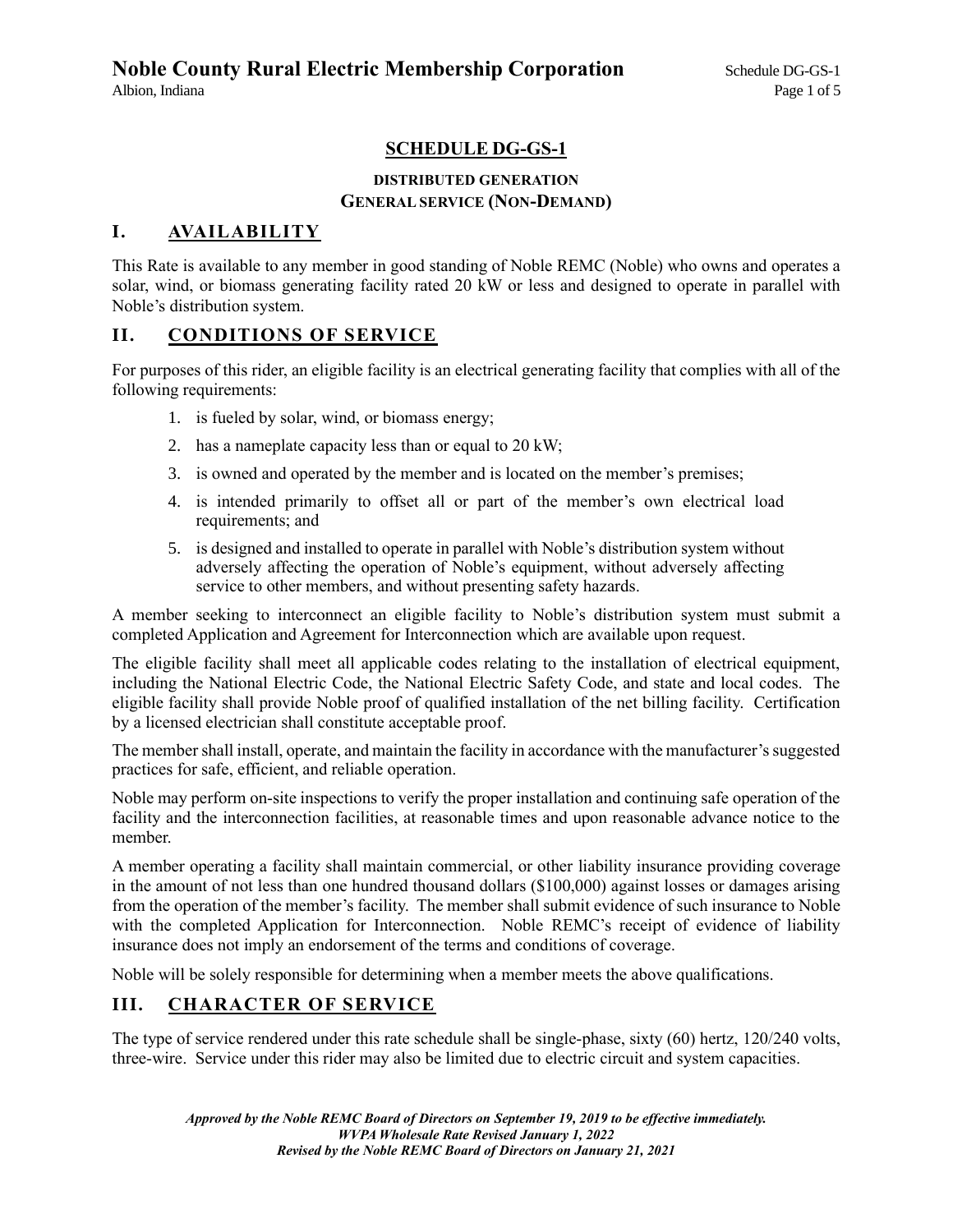# **SCHEDULE DG-GS-1**

### **DISTRIBUTED GENERATION GENERAL SERVICE (NON-DEMAND)**

### **I. AVAILABILITY**

This Rate is available to any member in good standing of Noble REMC (Noble) who owns and operates a solar, wind, or biomass generating facility rated 20 kW or less and designed to operate in parallel with Noble's distribution system.

### **II. CONDITIONS OF SERVICE**

For purposes of this rider, an eligible facility is an electrical generating facility that complies with all of the following requirements:

- 1. is fueled by solar, wind, or biomass energy;
- 2. has a nameplate capacity less than or equal to 20 kW;
- 3. is owned and operated by the member and is located on the member's premises;
- 4. is intended primarily to offset all or part of the member's own electrical load requirements; and
- 5. is designed and installed to operate in parallel with Noble's distribution system without adversely affecting the operation of Noble's equipment, without adversely affecting service to other members, and without presenting safety hazards.

A member seeking to interconnect an eligible facility to Noble's distribution system must submit a completed Application and Agreement for Interconnection which are available upon request.

The eligible facility shall meet all applicable codes relating to the installation of electrical equipment, including the National Electric Code, the National Electric Safety Code, and state and local codes. The eligible facility shall provide Noble proof of qualified installation of the net billing facility. Certification by a licensed electrician shall constitute acceptable proof.

The member shall install, operate, and maintain the facility in accordance with the manufacturer's suggested practices for safe, efficient, and reliable operation.

Noble may perform on-site inspections to verify the proper installation and continuing safe operation of the facility and the interconnection facilities, at reasonable times and upon reasonable advance notice to the member.

A member operating a facility shall maintain commercial, or other liability insurance providing coverage in the amount of not less than one hundred thousand dollars (\$100,000) against losses or damages arising from the operation of the member's facility. The member shall submit evidence of such insurance to Noble with the completed Application for Interconnection. Noble REMC's receipt of evidence of liability insurance does not imply an endorsement of the terms and conditions of coverage.

Noble will be solely responsible for determining when a member meets the above qualifications.

## **III. CHARACTER OF SERVICE**

The type of service rendered under this rate schedule shall be single-phase, sixty (60) hertz, 120/240 volts, three-wire. Service under this rider may also be limited due to electric circuit and system capacities.

*Approved by the Noble REMC Board of Directors on September 19, 2019 to be effective immediately. WVPA Wholesale Rate Revised January 1, 2022 Revised by the Noble REMC Board of Directors on January 21, 2021*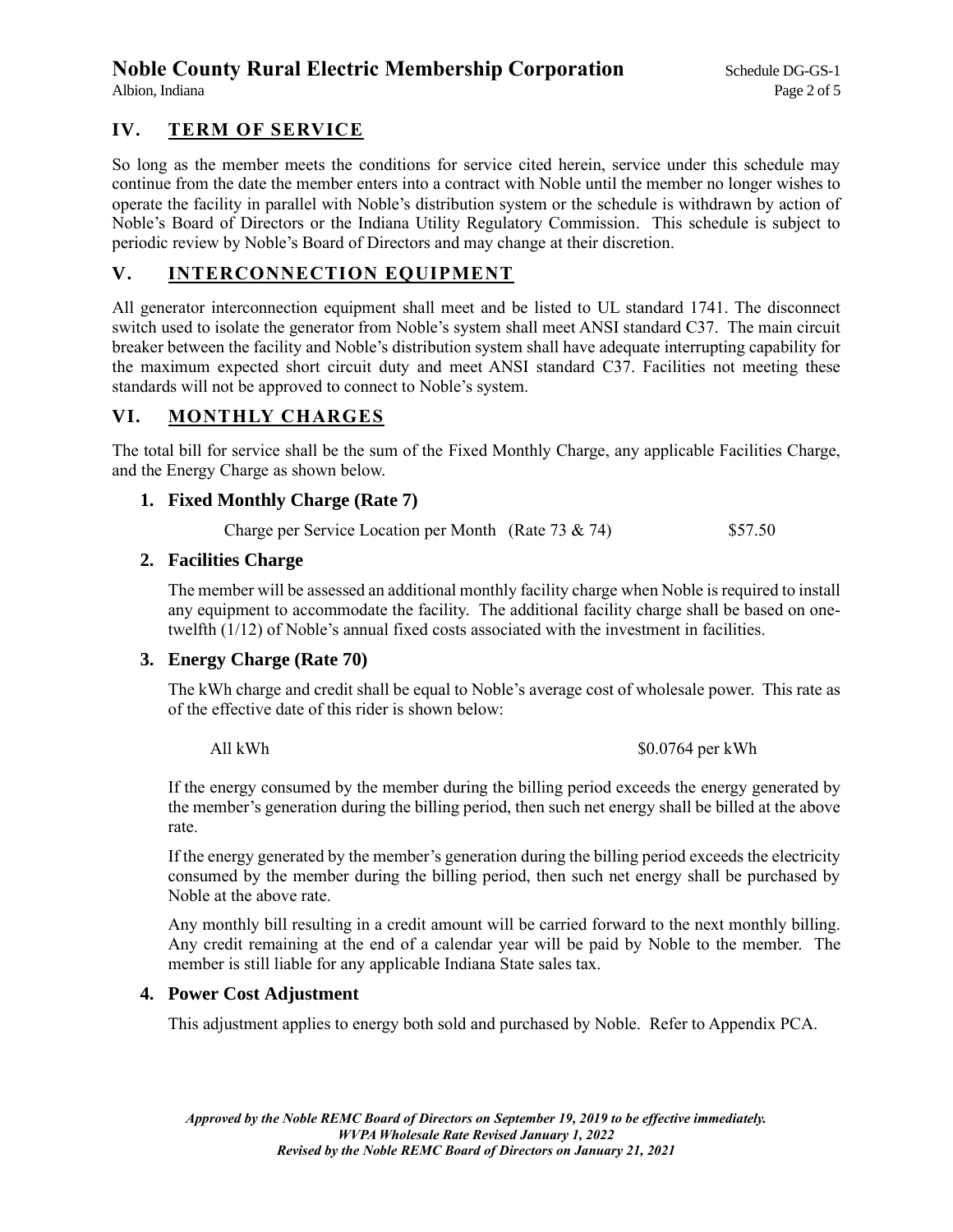# **Noble County Rural Electric Membership Corporation** Schedule DG-GS-1

## **IV. TERM OF SERVICE**

So long as the member meets the conditions for service cited herein, service under this schedule may continue from the date the member enters into a contract with Noble until the member no longer wishes to operate the facility in parallel with Noble's distribution system or the schedule is withdrawn by action of Noble's Board of Directors or the Indiana Utility Regulatory Commission. This schedule is subject to periodic review by Noble's Board of Directors and may change at their discretion.

### **V. INTERCONNECTION EQUIPMENT**

All generator interconnection equipment shall meet and be listed to UL standard 1741. The disconnect switch used to isolate the generator from Noble's system shall meet ANSI standard C37. The main circuit breaker between the facility and Noble's distribution system shall have adequate interrupting capability for the maximum expected short circuit duty and meet ANSI standard C37. Facilities not meeting these standards will not be approved to connect to Noble's system.

### **VI. MONTHLY CHARGES**

The total bill for service shall be the sum of the Fixed Monthly Charge, any applicable Facilities Charge, and the Energy Charge as shown below.

#### **1. Fixed Monthly Charge (Rate 7)**

Charge per Service Location per Month (Rate 73 & 74) \$57.50

#### **2. Facilities Charge**

The member will be assessed an additional monthly facility charge when Noble is required to install any equipment to accommodate the facility. The additional facility charge shall be based on onetwelfth (1/12) of Noble's annual fixed costs associated with the investment in facilities.

### **3. Energy Charge (Rate 70)**

The kWh charge and credit shall be equal to Noble's average cost of wholesale power. This rate as of the effective date of this rider is shown below:

All kWh  $\text{S}0.0764$  per kWh

If the energy consumed by the member during the billing period exceeds the energy generated by the member's generation during the billing period, then such net energy shall be billed at the above rate.

If the energy generated by the member's generation during the billing period exceeds the electricity consumed by the member during the billing period, then such net energy shall be purchased by Noble at the above rate.

Any monthly bill resulting in a credit amount will be carried forward to the next monthly billing. Any credit remaining at the end of a calendar year will be paid by Noble to the member. The member is still liable for any applicable Indiana State sales tax.

#### **4. Power Cost Adjustment**

This adjustment applies to energy both sold and purchased by Noble. Refer to Appendix PCA.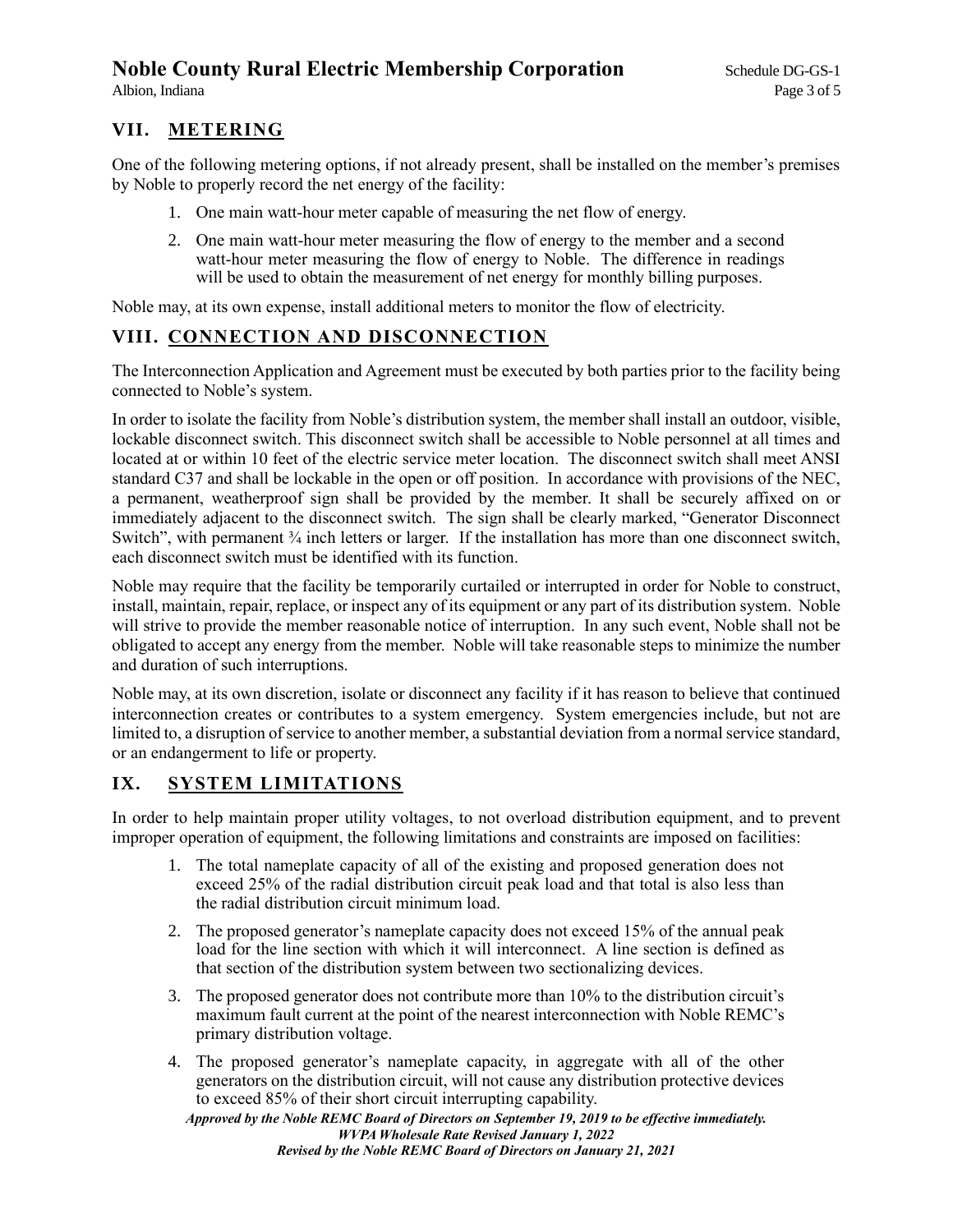# **Noble County Rural Electric Membership Corporation** Schedule DG-GS-1

### **VII. METERING**

One of the following metering options, if not already present, shall be installed on the member's premises by Noble to properly record the net energy of the facility:

- 1. One main watt-hour meter capable of measuring the net flow of energy.
- 2. One main watt-hour meter measuring the flow of energy to the member and a second watt-hour meter measuring the flow of energy to Noble. The difference in readings will be used to obtain the measurement of net energy for monthly billing purposes.

Noble may, at its own expense, install additional meters to monitor the flow of electricity.

# **VIII. CONNECTION AND DISCONNECTION**

The Interconnection Application and Agreement must be executed by both parties prior to the facility being connected to Noble's system.

In order to isolate the facility from Noble's distribution system, the member shall install an outdoor, visible, lockable disconnect switch. This disconnect switch shall be accessible to Noble personnel at all times and located at or within 10 feet of the electric service meter location. The disconnect switch shall meet ANSI standard C37 and shall be lockable in the open or off position. In accordance with provisions of the NEC, a permanent, weatherproof sign shall be provided by the member. It shall be securely affixed on or immediately adjacent to the disconnect switch. The sign shall be clearly marked, "Generator Disconnect Switch", with permanent  $\frac{3}{4}$  inch letters or larger. If the installation has more than one disconnect switch, each disconnect switch must be identified with its function.

Noble may require that the facility be temporarily curtailed or interrupted in order for Noble to construct, install, maintain, repair, replace, or inspect any of its equipment or any part of its distribution system. Noble will strive to provide the member reasonable notice of interruption. In any such event, Noble shall not be obligated to accept any energy from the member. Noble will take reasonable steps to minimize the number and duration of such interruptions.

Noble may, at its own discretion, isolate or disconnect any facility if it has reason to believe that continued interconnection creates or contributes to a system emergency. System emergencies include, but not are limited to, a disruption of service to another member, a substantial deviation from a normal service standard, or an endangerment to life or property.

## **IX. SYSTEM LIMITATIONS**

In order to help maintain proper utility voltages, to not overload distribution equipment, and to prevent improper operation of equipment, the following limitations and constraints are imposed on facilities:

- 1. The total nameplate capacity of all of the existing and proposed generation does not exceed 25% of the radial distribution circuit peak load and that total is also less than the radial distribution circuit minimum load.
- 2. The proposed generator's nameplate capacity does not exceed 15% of the annual peak load for the line section with which it will interconnect. A line section is defined as that section of the distribution system between two sectionalizing devices.
- 3. The proposed generator does not contribute more than 10% to the distribution circuit's maximum fault current at the point of the nearest interconnection with Noble REMC's primary distribution voltage.
- 4. The proposed generator's nameplate capacity, in aggregate with all of the other generators on the distribution circuit, will not cause any distribution protective devices to exceed 85% of their short circuit interrupting capability.

*Approved by the Noble REMC Board of Directors on September 19, 2019 to be effective immediately. WVPA Wholesale Rate Revised January 1, 2022 Revised by the Noble REMC Board of Directors on January 21, 2021*